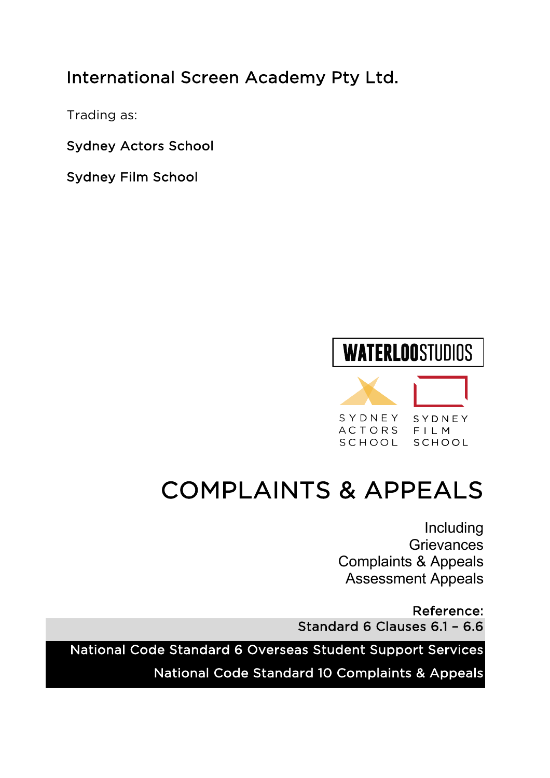# International Screen Academy Pty Ltd.

Trading as:

Sydney Actors School

Sydney Film School

### **WATERLOOSTUDIOS** SYDNEY SYDNEY ACTORS FILM SCHOOL SCHOOL

# COMPLAINTS & APPEALS

Including **Grievances** Complaints & Appeals Assessment Appeals

Reference: Standard 6 Clauses 6.1 – 6.6

National Code Standard 6 Overseas Student Support Services

National Code Standard 10 Complaints & Appeals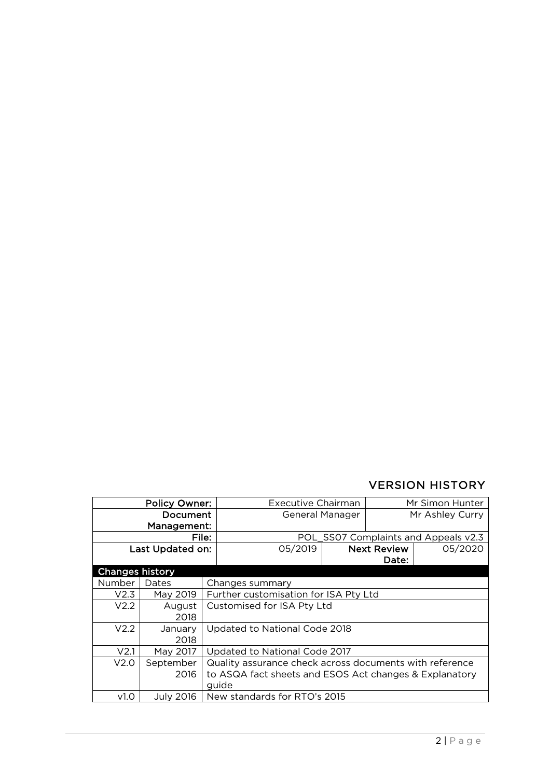#### VERSION HISTORY

| <b>Policy Owner:</b>   |             | <b>Executive Chairman</b> |                                                         | Mr Simon Hunter |                    |                                      |
|------------------------|-------------|---------------------------|---------------------------------------------------------|-----------------|--------------------|--------------------------------------|
| Document               |             | General Manager           |                                                         | Mr Ashley Curry |                    |                                      |
|                        | Management: |                           |                                                         |                 |                    |                                      |
|                        |             | File:                     |                                                         |                 |                    | POL SS07 Complaints and Appeals v2.3 |
| Last Updated on:       |             |                           | 05/2019                                                 |                 | <b>Next Review</b> | 05/2020                              |
|                        |             |                           |                                                         |                 | Date:              |                                      |
| <b>Changes history</b> |             |                           |                                                         |                 |                    |                                      |
| Number                 | Dates       |                           | Changes summary                                         |                 |                    |                                      |
| V2.3                   | May 2019    |                           | Further customisation for ISA Pty Ltd                   |                 |                    |                                      |
| V2.2                   | August      |                           | Customised for ISA Pty Ltd                              |                 |                    |                                      |
|                        | 2018        |                           |                                                         |                 |                    |                                      |
| V2.2                   | January     |                           | Updated to National Code 2018                           |                 |                    |                                      |
|                        | 2018        |                           |                                                         |                 |                    |                                      |
| V <sub>2.1</sub>       | May 2017    |                           | Updated to National Code 2017                           |                 |                    |                                      |
| V2.0                   | September   |                           | Quality assurance check across documents with reference |                 |                    |                                      |
|                        | 2016        |                           | to ASQA fact sheets and ESOS Act changes & Explanatory  |                 |                    |                                      |
|                        |             |                           | quide                                                   |                 |                    |                                      |
| v1.0                   | July 2016   |                           | New standards for RTO's 2015                            |                 |                    |                                      |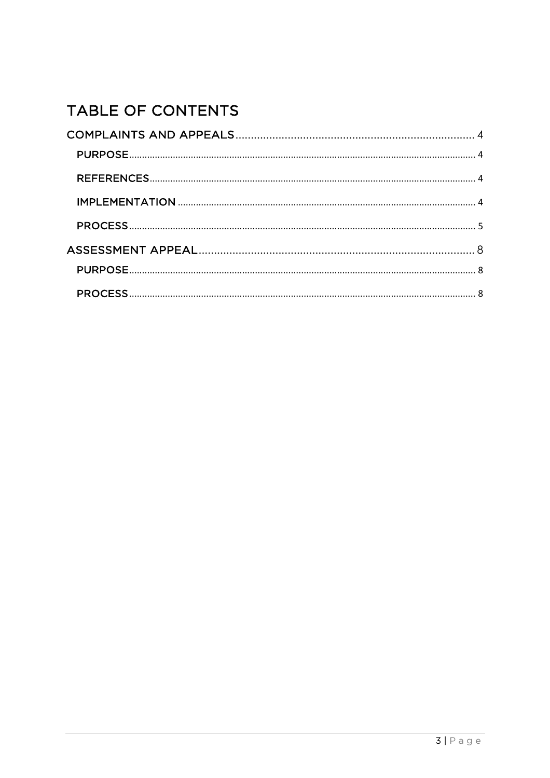### TABLE OF CONTENTS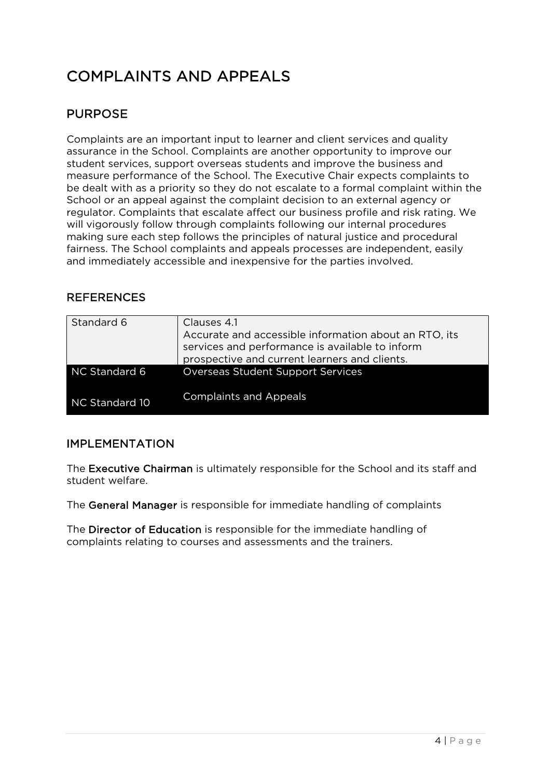## COMPLAINTS AND APPEALS

#### PURPOSE

Complaints are an important input to learner and client services and quality assurance in the School. Complaints are another opportunity to improve our student services, support overseas students and improve the business and measure performance of the School. The Executive Chair expects complaints to be dealt with as a priority so they do not escalate to a formal complaint within the School or an appeal against the complaint decision to an external agency or regulator. Complaints that escalate affect our business profile and risk rating. We will vigorously follow through complaints following our internal procedures making sure each step follows the principles of natural justice and procedural fairness. The School complaints and appeals processes are independent, easily and immediately accessible and inexpensive for the parties involved.

#### **REFERENCES**

| Standard 6     | Clauses 4.1<br>Accurate and accessible information about an RTO, its<br>services and performance is available to inform<br>prospective and current learners and clients. |
|----------------|--------------------------------------------------------------------------------------------------------------------------------------------------------------------------|
| NC Standard 6  | Overseas Student Support Services                                                                                                                                        |
| NC Standard 10 | <b>Complaints and Appeals</b>                                                                                                                                            |

#### IMPLEMENTATION

The Executive Chairman is ultimately responsible for the School and its staff and student welfare.

The General Manager is responsible for immediate handling of complaints

The Director of Education is responsible for the immediate handling of complaints relating to courses and assessments and the trainers.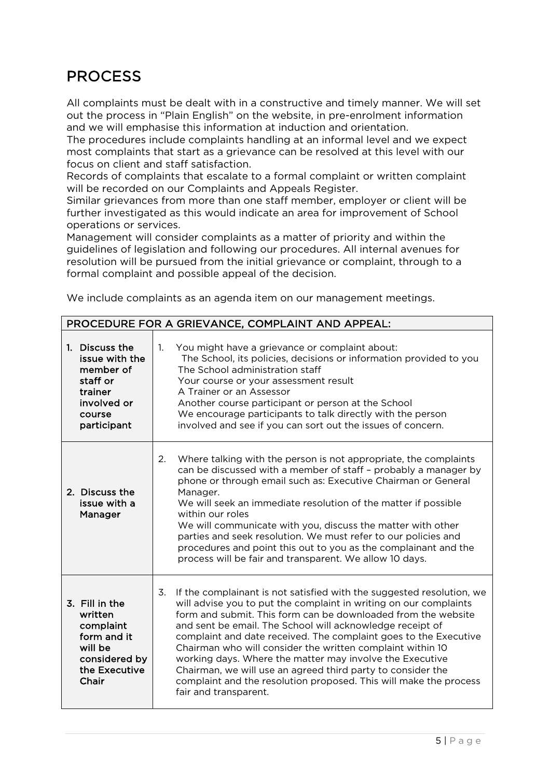### PROCESS

All complaints must be dealt with in a constructive and timely manner. We will set out the process in "Plain English" on the website, in pre-enrolment information and we will emphasise this information at induction and orientation.

The procedures include complaints handling at an informal level and we expect most complaints that start as a grievance can be resolved at this level with our focus on client and staff satisfaction.

Records of complaints that escalate to a formal complaint or written complaint will be recorded on our Complaints and Appeals Register.

Similar grievances from more than one staff member, employer or client will be further investigated as this would indicate an area for improvement of School operations or services.

Management will consider complaints as a matter of priority and within the guidelines of legislation and following our procedures. All internal avenues for resolution will be pursued from the initial grievance or complaint, through to a formal complaint and possible appeal of the decision.

We include complaints as an agenda item on our management meetings.

|                                                                                                              | PROCEDURE FOR A GRIEVANCE, COMPLAINT AND APPEAL:                                                                                                                                                                                                                                                                                                                                                                                                                                                                                                                                                                                          |
|--------------------------------------------------------------------------------------------------------------|-------------------------------------------------------------------------------------------------------------------------------------------------------------------------------------------------------------------------------------------------------------------------------------------------------------------------------------------------------------------------------------------------------------------------------------------------------------------------------------------------------------------------------------------------------------------------------------------------------------------------------------------|
| 1. Discuss the<br>issue with the<br>member of<br>staff or<br>trainer<br>involved or<br>course<br>participant | $\mathbf{1}$ .<br>You might have a grievance or complaint about:<br>The School, its policies, decisions or information provided to you<br>The School administration staff<br>Your course or your assessment result<br>A Trainer or an Assessor<br>Another course participant or person at the School<br>We encourage participants to talk directly with the person<br>involved and see if you can sort out the issues of concern.                                                                                                                                                                                                         |
| 2. Discuss the<br>issue with a<br>Manager                                                                    | 2.<br>Where talking with the person is not appropriate, the complaints<br>can be discussed with a member of staff - probably a manager by<br>phone or through email such as: Executive Chairman or General<br>Manager.<br>We will seek an immediate resolution of the matter if possible<br>within our roles<br>We will communicate with you, discuss the matter with other<br>parties and seek resolution. We must refer to our policies and<br>procedures and point this out to you as the complainant and the<br>process will be fair and transparent. We allow 10 days.                                                               |
| 3. Fill in the<br>written<br>complaint<br>form and it<br>will be<br>considered by<br>the Executive<br>Chair  | 3.<br>If the complainant is not satisfied with the suggested resolution, we<br>will advise you to put the complaint in writing on our complaints<br>form and submit. This form can be downloaded from the website<br>and sent be email. The School will acknowledge receipt of<br>complaint and date received. The complaint goes to the Executive<br>Chairman who will consider the written complaint within 10<br>working days. Where the matter may involve the Executive<br>Chairman, we will use an agreed third party to consider the<br>complaint and the resolution proposed. This will make the process<br>fair and transparent. |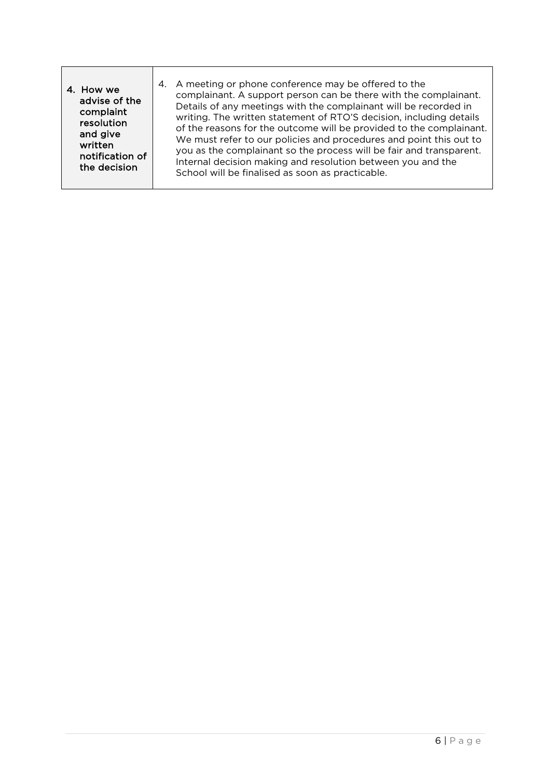| 4. How we<br>advise of the<br>complaint<br>resolution<br>and give<br>written<br>notification of<br>the decision | 4. A meeting or phone conference may be offered to the<br>complainant. A support person can be there with the complainant.<br>Details of any meetings with the complainant will be recorded in<br>writing. The written statement of RTO'S decision, including details<br>of the reasons for the outcome will be provided to the complainant.<br>We must refer to our policies and procedures and point this out to<br>you as the complainant so the process will be fair and transparent.<br>Internal decision making and resolution between you and the<br>School will be finalised as soon as practicable. |
|-----------------------------------------------------------------------------------------------------------------|--------------------------------------------------------------------------------------------------------------------------------------------------------------------------------------------------------------------------------------------------------------------------------------------------------------------------------------------------------------------------------------------------------------------------------------------------------------------------------------------------------------------------------------------------------------------------------------------------------------|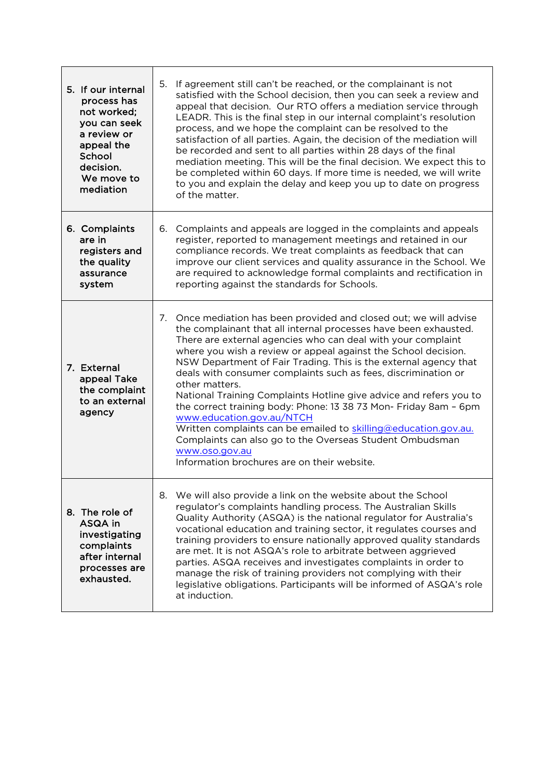| 5. If our internal<br>process has<br>not worked;<br>you can seek<br>a review or<br>appeal the<br>School<br>decision.<br>We move to<br>mediation | If agreement still can't be reached, or the complainant is not<br>5.<br>satisfied with the School decision, then you can seek a review and<br>appeal that decision. Our RTO offers a mediation service through<br>LEADR. This is the final step in our internal complaint's resolution<br>process, and we hope the complaint can be resolved to the<br>satisfaction of all parties. Again, the decision of the mediation will<br>be recorded and sent to all parties within 28 days of the final<br>mediation meeting. This will be the final decision. We expect this to<br>be completed within 60 days. If more time is needed, we will write<br>to you and explain the delay and keep you up to date on progress<br>of the matter.                                                                   |
|-------------------------------------------------------------------------------------------------------------------------------------------------|---------------------------------------------------------------------------------------------------------------------------------------------------------------------------------------------------------------------------------------------------------------------------------------------------------------------------------------------------------------------------------------------------------------------------------------------------------------------------------------------------------------------------------------------------------------------------------------------------------------------------------------------------------------------------------------------------------------------------------------------------------------------------------------------------------|
| 6. Complaints<br>are in<br>registers and<br>the quality<br>assurance<br>system                                                                  | 6. Complaints and appeals are logged in the complaints and appeals<br>register, reported to management meetings and retained in our<br>compliance records. We treat complaints as feedback that can<br>improve our client services and quality assurance in the School. We<br>are required to acknowledge formal complaints and rectification in<br>reporting against the standards for Schools.                                                                                                                                                                                                                                                                                                                                                                                                        |
| 7. External<br>appeal Take<br>the complaint<br>to an external<br>agency                                                                         | 7. Once mediation has been provided and closed out; we will advise<br>the complainant that all internal processes have been exhausted.<br>There are external agencies who can deal with your complaint<br>where you wish a review or appeal against the School decision.<br>NSW Department of Fair Trading. This is the external agency that<br>deals with consumer complaints such as fees, discrimination or<br>other matters.<br>National Training Complaints Hotline give advice and refers you to<br>the correct training body: Phone: 13 38 73 Mon- Friday 8am - 6pm<br>www.education.gov.au/NTCH<br>Written complaints can be emailed to skilling@education.gov.au.<br>Complaints can also go to the Overseas Student Ombudsman<br>www.oso.gov.au<br>Information brochures are on their website. |
| 8. The role of<br>ASQA in<br>investigating<br>complaints<br>after internal<br>processes are<br>exhausted.                                       | We will also provide a link on the website about the School<br>8.<br>regulator's complaints handling process. The Australian Skills<br>Quality Authority (ASQA) is the national regulator for Australia's<br>vocational education and training sector, it regulates courses and<br>training providers to ensure nationally approved quality standards<br>are met. It is not ASQA's role to arbitrate between aggrieved<br>parties. ASQA receives and investigates complaints in order to<br>manage the risk of training providers not complying with their<br>legislative obligations. Participants will be informed of ASQA's role<br>at induction.                                                                                                                                                    |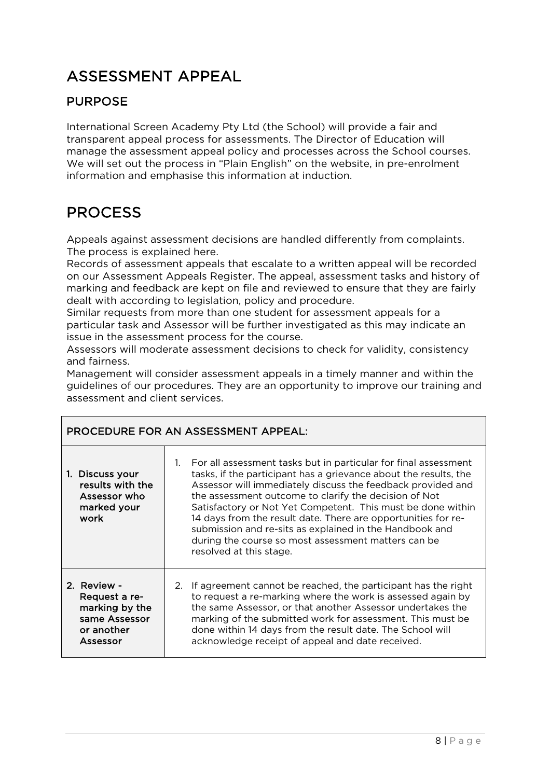### ASSESSMENT APPEAL

#### PURPOSE

International Screen Academy Pty Ltd (the School) will provide a fair and transparent appeal process for assessments. The Director of Education will manage the assessment appeal policy and processes across the School courses. We will set out the process in "Plain English" on the website, in pre-enrolment information and emphasise this information at induction.

### PROCESS

Appeals against assessment decisions are handled differently from complaints. The process is explained here.

Records of assessment appeals that escalate to a written appeal will be recorded on our Assessment Appeals Register. The appeal, assessment tasks and history of marking and feedback are kept on file and reviewed to ensure that they are fairly dealt with according to legislation, policy and procedure.

Similar requests from more than one student for assessment appeals for a particular task and Assessor will be further investigated as this may indicate an issue in the assessment process for the course.

Assessors will moderate assessment decisions to check for validity, consistency and fairness.

Management will consider assessment appeals in a timely manner and within the guidelines of our procedures. They are an opportunity to improve our training and assessment and client services.

| PROCEDURE FOR AN ASSESSMENT APPEAL:                                                       |                                                                                                                                                                                                                                                                                                                                                                                                                                                                                                                                                     |  |
|-------------------------------------------------------------------------------------------|-----------------------------------------------------------------------------------------------------------------------------------------------------------------------------------------------------------------------------------------------------------------------------------------------------------------------------------------------------------------------------------------------------------------------------------------------------------------------------------------------------------------------------------------------------|--|
| 1. Discuss your<br>results with the<br>Assessor who<br>marked your<br>work                | For all assessment tasks but in particular for final assessment<br>$1_{-}$<br>tasks, if the participant has a grievance about the results, the<br>Assessor will immediately discuss the feedback provided and<br>the assessment outcome to clarify the decision of Not<br>Satisfactory or Not Yet Competent. This must be done within<br>14 days from the result date. There are opportunities for re-<br>submission and re-sits as explained in the Handbook and<br>during the course so most assessment matters can be<br>resolved at this stage. |  |
| 2. Review -<br>Request a re-<br>marking by the<br>same Assessor<br>or another<br>Assessor | If agreement cannot be reached, the participant has the right<br>2.<br>to request a re-marking where the work is assessed again by<br>the same Assessor, or that another Assessor undertakes the<br>marking of the submitted work for assessment. This must be<br>done within 14 days from the result date. The School will<br>acknowledge receipt of appeal and date received.                                                                                                                                                                     |  |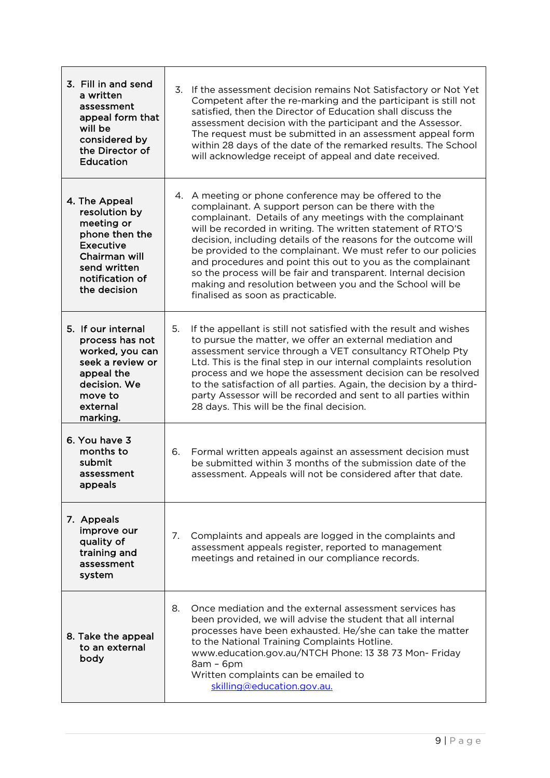| 3. Fill in and send<br>a written<br>assessment<br>appeal form that<br>will be<br>considered by<br>the Director of<br>Education                         |    | 3. If the assessment decision remains Not Satisfactory or Not Yet<br>Competent after the re-marking and the participant is still not<br>satisfied, then the Director of Education shall discuss the<br>assessment decision with the participant and the Assessor.<br>The request must be submitted in an assessment appeal form<br>within 28 days of the date of the remarked results. The School<br>will acknowledge receipt of appeal and date received.                                                                                                                                                      |
|--------------------------------------------------------------------------------------------------------------------------------------------------------|----|-----------------------------------------------------------------------------------------------------------------------------------------------------------------------------------------------------------------------------------------------------------------------------------------------------------------------------------------------------------------------------------------------------------------------------------------------------------------------------------------------------------------------------------------------------------------------------------------------------------------|
| 4. The Appeal<br>resolution by<br>meeting or<br>phone then the<br><b>Executive</b><br>Chairman will<br>send written<br>notification of<br>the decision |    | 4. A meeting or phone conference may be offered to the<br>complainant. A support person can be there with the<br>complainant. Details of any meetings with the complainant<br>will be recorded in writing. The written statement of RTO'S<br>decision, including details of the reasons for the outcome will<br>be provided to the complainant. We must refer to our policies<br>and procedures and point this out to you as the complainant<br>so the process will be fair and transparent. Internal decision<br>making and resolution between you and the School will be<br>finalised as soon as practicable. |
| 5. If our internal<br>process has not<br>worked, you can<br>seek a review or<br>appeal the<br>decision. We<br>move to<br>external<br>marking.          | 5. | If the appellant is still not satisfied with the result and wishes<br>to pursue the matter, we offer an external mediation and<br>assessment service through a VET consultancy RTOhelp Pty<br>Ltd. This is the final step in our internal complaints resolution<br>process and we hope the assessment decision can be resolved<br>to the satisfaction of all parties. Again, the decision by a third-<br>party Assessor will be recorded and sent to all parties within<br>28 days. This will be the final decision.                                                                                            |
| 6. You have 3<br>months to<br>submit<br>assessment<br>appeals                                                                                          | 6. | Formal written appeals against an assessment decision must<br>be submitted within 3 months of the submission date of the<br>assessment. Appeals will not be considered after that date.                                                                                                                                                                                                                                                                                                                                                                                                                         |
| 7. Appeals<br>improve our<br>quality of<br>training and<br>assessment<br>system                                                                        | 7. | Complaints and appeals are logged in the complaints and<br>assessment appeals register, reported to management<br>meetings and retained in our compliance records.                                                                                                                                                                                                                                                                                                                                                                                                                                              |
| 8. Take the appeal<br>to an external<br>body                                                                                                           | 8. | Once mediation and the external assessment services has<br>been provided, we will advise the student that all internal<br>processes have been exhausted. He/she can take the matter<br>to the National Training Complaints Hotline.<br>www.education.gov.au/NTCH Phone: 13 38 73 Mon- Friday<br>$8am - 6pm$<br>Written complaints can be emailed to<br>skilling@education.gov.au.                                                                                                                                                                                                                               |